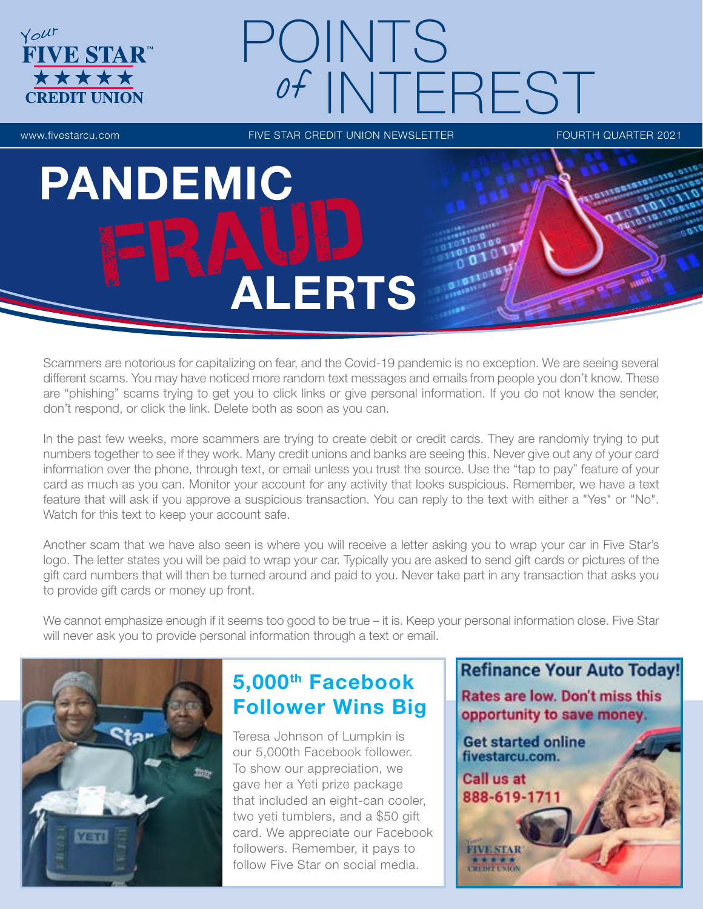# POINTS of INTEREST

**FIVE STAR™** 

\*\*\*

Your

www.fivestarcu.com **FIVE STAR CREDIT UNION NEWSLETTER** FOURTH QUARTER 2021

PANDEMIC **ALERTS** 

Scammers are notorious for capitalizing on fear, and the Covid-19 pandemic is no exception. We are seeing several different scams. You may have noticed more random text messages and emails from people you don't know. These are "phishing" scams trying to get you to click links or give personal information. If you do not know the sender, don't respond, or click the link. Delete both as soon as you can.

In the past few weeks, more scammers are trying to create debit or credit cards. They are randomly trying to put numbers together to see if they work. Many credit unions and banks are seeing this. Never give out any of your card information over the phone, through text, or email unless you trust the source. Use the "tap to pay" feature of your card as much as you can. Monitor your account for any activity that looks suspicious. Remember, we have a text feature that will ask if you approve a suspicious transaction. You can reply to the text with either a "Yes" or "No". Watch for this text to keep your account safe.

Another scam that we have also seen is where you will receive a letter asking you to wrap your car in Five Star's logo. The letter states you will be paid to wrap your car. Typically you are asked to send gift cards or pictures of the gift card numbers that will then be turned around and paid to you. Never take part in any transaction that asks you to provide gift cards or money up front.

We cannot emphasize enough if it seems too good to be true – it is. Keep your personal information close. Five Star will never ask you to provide personal information through a text or email.



## 5,000th Facebook Follower Wins Big

Teresa Johnson of Lumpkin is our 5,000th Facebook follower. To show our appreciation, we gave her a Yeti prize package that included an eight-can cooler, two yeti tumblers, and a \$50 gift card. We appreciate our Facebook followers. Remember, it pays to follow Five Star on social media.